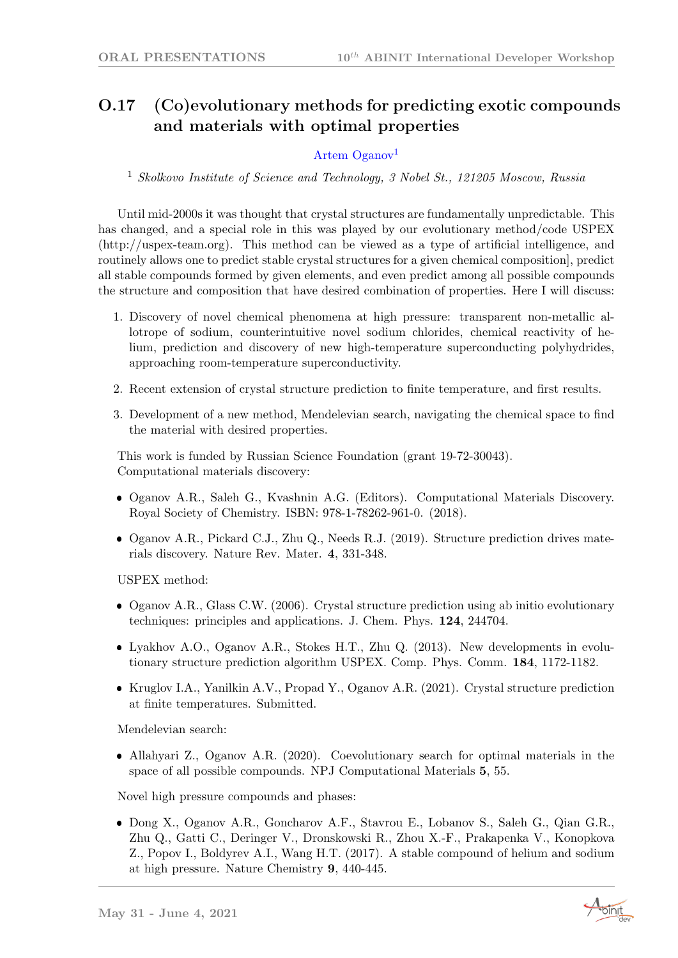## O.17 (Co)evolutionary methods for predicting exotic compounds and materials with optimal properties

## Artem Oganov<sup>1</sup>

<sup>1</sup> Skolkovo Institute of Science and Technology, 3 Nobel St., 121205 Moscow, Russia

Until mid-2000s it was thought that crystal structures are fundamentally unpredictable. This has changed, and a special role in this was played by our evolutionary method/code USPEX (http://uspex-team.org). This method can be viewed as a type of artificial intelligence, and routinely allows one to predict stable crystal structures for a given chemical composition], predict all stable compounds formed by given elements, and even predict among all possible compounds the structure and composition that have desired combination of properties. Here I will discuss:

- 1. Discovery of novel chemical phenomena at high pressure: transparent non-metallic allotrope of sodium, counterintuitive novel sodium chlorides, chemical reactivity of helium, prediction and discovery of new high-temperature superconducting polyhydrides, approaching room-temperature superconductivity.
- 2. Recent extension of crystal structure prediction to finite temperature, and first results.
- 3. Development of a new method, Mendelevian search, navigating the chemical space to find the material with desired properties.

This work is funded by Russian Science Foundation (grant 19-72-30043). Computational materials discovery:

- Oganov A.R., Saleh G., Kvashnin A.G. (Editors). Computational Materials Discovery. Royal Society of Chemistry. ISBN: 978-1-78262-961-0. (2018).
- Oganov A.R., Pickard C.J., Zhu Q., Needs R.J. (2019). Structure prediction drives materials discovery. Nature Rev. Mater. 4, 331-348.

USPEX method:

- Oganov A.R., Glass C.W. (2006). Crystal structure prediction using ab initio evolutionary techniques: principles and applications. J. Chem. Phys. 124, 244704.
- Lyakhov A.O., Oganov A.R., Stokes H.T., Zhu Q. (2013). New developments in evolutionary structure prediction algorithm USPEX. Comp. Phys. Comm. 184, 1172-1182.
- Kruglov I.A., Yanilkin A.V., Propad Y., Oganov A.R. (2021). Crystal structure prediction at finite temperatures. Submitted.

Mendelevian search:

 Allahyari Z., Oganov A.R. (2020). Coevolutionary search for optimal materials in the space of all possible compounds. NPJ Computational Materials 5, 55.

Novel high pressure compounds and phases:

 Dong X., Oganov A.R., Goncharov A.F., Stavrou E., Lobanov S., Saleh G., Qian G.R., Zhu Q., Gatti C., Deringer V., Dronskowski R., Zhou X.-F., Prakapenka V., Konopkova Z., Popov I., Boldyrev A.I., Wang H.T. (2017). A stable compound of helium and sodium at high pressure. Nature Chemistry 9, 440-445.